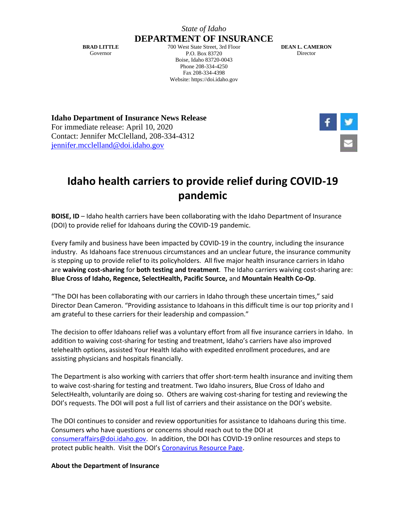## *State of Idaho*

**BRAD LITTLE** Governor

**DEPARTMENT OF INSURANCE** 700 West State Street, 3rd Floor P.O. Box 83720 Boise, Idaho 83720-0043 Phone 208-334-4250 Fax 208-334-4398 Website: https://doi.idaho.gov

**DEAN L. CAMERON** Director

**Idaho Department of Insurance News Release** For immediate release: April 10, 2020 Contact: Jennifer McClelland, 208-334-4312 [jennifer.mcclelland@doi.idaho.gov](mailto:jennifer.mcclelland@doi.idaho.gov)



## **Idaho health carriers to provide relief during COVID-19 pandemic**

**BOISE, ID** – Idaho health carriers have been collaborating with the Idaho Department of Insurance (DOI) to provide relief for Idahoans during the COVID-19 pandemic.

Every family and business have been impacted by COVID-19 in the country, including the insurance industry. As Idahoans face strenuous circumstances and an unclear future, the insurance community is stepping up to provide relief to its policyholders. All five major health insurance carriers in Idaho are **waiving cost-sharing** for **both testing and treatment**. The Idaho carriers waiving cost-sharing are: **Blue Cross of Idaho, Regence, SelectHealth, Pacific Source,** and **Mountain Health Co-Op**.

"The DOI has been collaborating with our carriers in Idaho through these uncertain times," said Director Dean Cameron. "Providing assistance to Idahoans in this difficult time is our top priority and I am grateful to these carriers for their leadership and compassion."

The decision to offer Idahoans relief was a voluntary effort from all five insurance carriers in Idaho. In addition to waiving cost-sharing for testing and treatment, Idaho's carriers have also improved telehealth options, assisted Your Health Idaho with expedited enrollment procedures, and are assisting physicians and hospitals financially.

The Department is also working with carriers that offer short-term health insurance and inviting them to waive cost-sharing for testing and treatment. Two Idaho insurers, Blue Cross of Idaho and SelectHealth, voluntarily are doing so. Others are waiving cost-sharing for testing and reviewing the DOI's requests. The DOI will post a full list of carriers and their assistance on the DOI's website.

The DOI continues to consider and review opportunities for assistance to Idahoans during this time. Consumers who have questions or concerns should reach out to the DOI at [consumeraffairs@doi.idaho.gov.](mailto:consumeraffairs@doi.idaho.gov) In addition, the DOI has COVID-19 online resources and steps to protect public health. Visit the DOI's [Coronavirus Resource Page.](https://doi.idaho.gov/consumer/Health/COVID)

## **About the Department of Insurance**